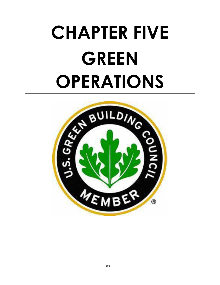# **CHAPTER FIVE GREEN OPERATIONS**

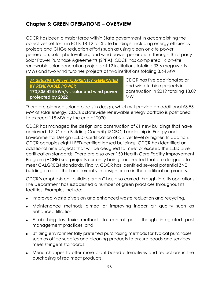## **Chapter 5: GREEN OPERATIONS – OVERVIEW**

CDCR has been a major force within State government in accomplishing the objectives set forth in EO B-18-12 for State buildings, including energy efficiency projects and GHGe reduction efforts such as using clean on-site power generation, solar photovoltaic, and wind power generation. Through third-party Solar Power Purchase Agreements (SPPA), CDCR has completed 16 on-site renewable solar generation projects at 12 institutions totaling 33.6 megawatts (MW) and two wind turbines projects at two institutions totaling 3.64 MW.

*74,385,296 kWh/yr. CURRENTLY GENERATED BY RENEWABLE POWER*  **173,305,424 kWh/yr. solar and wind power** 

**projected by 2022** 

CDCR has five additional solar and wind turbine projects in construction in 2019 totaling 18.09 MW.

There are planned solar projects in design, which will provide an additional 63.55 MW of solar energy. CDCR's statewide renewable energy portfolio is positioned to exceed 118 MW by the end of 2020.

CDCR has managed the design and construction of 61 new buildings that have achieved U.S. Green Building Council (USGBC) Leadership in Energy and Environmental Design (LEED) Certification of a Silver level or higher. In addition, CDCR occupies eight LEED-certified leased buildings. CDCR has identified an additional nine projects that will be designed to meet or exceed the LEED Silver certification standards. There are also over 150 Health Care Facility Improvement Program (HCFIP) sub-projects currently being constructed that are designed to meet CALGREEN standards. Finally, CDCR has identified several potential ZNE building projects that are currently in design or are in the certification process.

CDCR's emphasis on "building green" has also carried through into its operations. The Department has established a number of green practices throughout its facilities. Examples include:

- Improved waste diversion and enhanced waste reduction and recycling,
- Maintenance methods aimed at improving indoor air quality such as enhanced filtration,
- Establishing less-toxic methods to control pests though integrated pest management practices, and
- Utilizing environmentally preferred purchasing methods for typical purchases such as office supplies and cleaning products to ensure goods and services meet stringent standards,
- Menu changes to offer more plant-based alternatives and reductions in the purchasing of red meat products.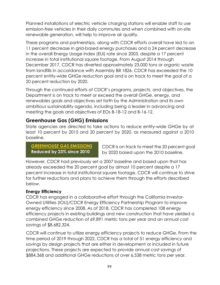Planned installations of electric vehicle charging stations will enable staff to use emission-free vehicles in their daily commutes and when combined with on-site renewable generation, will help to improve air quality.

These programs and partnerships, along with CDCR efforts overall have led to an 11 percent decrease in grid-based energy purchases and a 24 percent decrease in the overall Energy Usage Index (EUI) rate since 2003, despite a 17 percent increase in total institutional square footage. From August 2014 through December 2017, CDCR has diverted approximately 23,000 tons or organic waste from landfills in accordance with Assembly Bill 1826. CDCR has exceeded the 10 percent entity-wide GHGe reduction goal and is on track to meet the goal of a 20 percent reduction by 2020.

Through the continued efforts of CDCR's programs, projects, and objectives, the Department is on track to meet or exceed the overall GHGe, energy, and renewables goals and objectives set forth by the Administration and its own ambitious sustainability agenda, including being a leader in advancing and meeting the goals and objectives of EOs B-18-12 and B-16-12.

## **Greenhouse Gas (GHG) Emissions**

State agencies are directed to take actions to reduce entity-wide GHGe by at least 10 percent by 2015 and 20 percent by 2020, as measured against a 2010 baseline.

*GREENHOUSE GAS EMISSIONS* **Reduced by 23% since 2010** 

CDCR is on track to meet the 20 percent goal by 2020 based upon the 2010 baseline.

However, CDCR had previously set a 2007 baseline and based upon that has already exceeded the 20 percent goal by almost 10 percent despite a 17 percent increase in total institutional square footage. CDCR will continue to strive for further reductions and plans to achieve them through the efforts described below.

## **Energy Efficiency**

CDCR has engaged in a collaborative effort through the California Investor-Owned Utilities (IOU)/CDCR Energy Efficiency Partnership Program to improve energy efficiency since 2008. As of 2018, CDCR has completed 108 energy efficiency projects in existing buildings and new construction that have yielded a combined GHGe reduction of 69,891 metric tons per year and an annual cost savings of \$8,682,324.

CDCR will continue to utilize energy efficiency projects to reduce GHGe. From the time period of 2019 through 2022, CDCR has a total of 51 energy efficiency and savings by design projects that are either in development or included in future projections. These projects are expected to provide annual cost savings of \$884,368 and additional GHGe reductions of over 6,538 metric tons per year.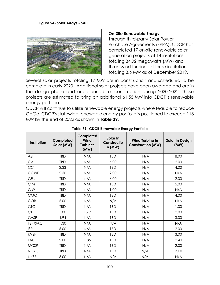**Figure 24- Solar Arrays - SAC**



#### **On-Site Renewable Energy**

Through third-party Solar Power Purchase Agreements (SPPA), CDCR has completed 17 on-site renewable solar generation projects at 14 institutions totaling 34.92 megawatts (MW) and three wind turbines at three institutions totaling 3.6 MW as of December 2019.

Several solar projects totaling 17 MW are in construction and scheduled to be complete in early 2020. Additional solar projects have been awarded and are in the design phase and are planned for construction during 2020-2022. These projects are estimated to bring an additional 61.55 MW into CDCR's renewable energy portfolio.

CDCR will continue to utilize renewable energy projects where feasible to reduce GHGe. CDCR's statewide renewable energy portfolio is positioned to exceed 118 MW by the end of 2022 as shown in **[Table 39](#page-3-0)**.

<span id="page-3-0"></span>

| Institution  | Completed<br>Solar (MW) | Completed<br>Wind<br><b>Turbines</b><br>(MW) | Solar In<br>Constructio<br>n(MW) | <b>Wind Turbine in</b><br><b>Construction (MW)</b> | <b>Solar In Design</b><br>(MW) |
|--------------|-------------------------|----------------------------------------------|----------------------------------|----------------------------------------------------|--------------------------------|
| ASP          | <b>TBD</b>              | N/A                                          | <b>TBD</b>                       | N/A                                                | 8.00                           |
| CAL          | <b>TBD</b>              | N/A                                          | 6.00                             | N/A                                                | 2.00                           |
| CCI          | 2.33                    | N/A                                          | TBD                              | N/A                                                | 4.00                           |
| <b>CCWF</b>  | 2.50                    | N/A                                          | 2.00                             | N/A                                                | N/A                            |
| <b>CEN</b>   | <b>TBD</b>              | N/A                                          | 6.00                             | N/A                                                | 2.00                           |
| <b>CIM</b>   | <b>TBD</b>              | N/A                                          | <b>TBD</b>                       | N/A                                                | 5.00                           |
| <b>CIW</b>   | <b>TBD</b>              | N/A                                          | 1.00                             | N/A                                                | N/A                            |
| <b>CMC</b>   | <b>TBD</b>              | N/A                                          | <b>TBD</b>                       | N/A                                                | 4.00                           |
| <b>COR</b>   | 5.00                    | N/A                                          | N/A                              | N/A                                                | N/A                            |
| <b>CTC</b>   | <b>TBD</b>              | N/A                                          | <b>TBD</b>                       | N/A                                                | 1.00                           |
| <b>CTF</b>   | 1.00                    | 1.79                                         | <b>TBD</b>                       | N/A                                                | 2.00                           |
| <b>CVSP</b>  | 4.94                    | N/A                                          | <b>TBD</b>                       | N/A                                                | 3.00                           |
| FSP/SAC      | 1.30                    | N/A                                          | N/A                              | N/A                                                | N/A                            |
| <b>ISP</b>   | 5.00                    | N/A                                          | <b>TBD</b>                       | N/A                                                | 2.00                           |
| <b>KVSP</b>  | <b>TBD</b>              | N/A                                          | <b>TBD</b>                       | N/A                                                | 3.00                           |
| <b>LAC</b>   | 2.00                    | 1.85                                         | <b>TBD</b>                       | N/A                                                | 2.40                           |
| <b>MCSP</b>  | <b>TBD</b>              | N/A                                          | <b>TBD</b>                       | N/A                                                | 2.00                           |
| <b>NCYCC</b> | TBD                     | N/A                                          | <b>TBD</b>                       | N/A                                                | 3.00                           |
| <b>NKSP</b>  | 5.00                    | N/A                                          | N/A                              | N/A                                                | N/A                            |

#### **Table 39- CDCR Renewable Energy Portfolio**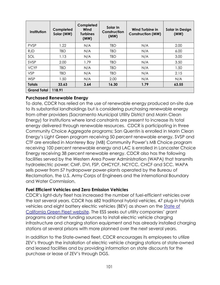| Institution        | Completed<br>Solar (MW) | Completed<br>Wind<br><b>Turbines</b><br>(MW) | Solar In<br>Construction<br>(MW) | Wind Turbine in<br><b>Construction (MW)</b> | <b>Solar In Design</b><br>(MW) |
|--------------------|-------------------------|----------------------------------------------|----------------------------------|---------------------------------------------|--------------------------------|
| <b>PVSP</b>        | 1.22                    | N/A                                          | <b>TBD</b>                       | N/A                                         | 2.00                           |
| <b>RJD</b>         | TBD                     | N/A                                          | <b>TBD</b>                       | N/A                                         | 6.00                           |
| SOL                | 1.13                    | N/A                                          | <b>TBD</b>                       | N/A                                         | 3.00                           |
| SVSP               | 2.00                    | 1.79                                         | <b>TBD</b>                       | N/A                                         | 3.50                           |
| <b>VCYF</b>        | TBD                     | N/A                                          | TBD                              | N/A                                         | 1.50                           |
| <b>VSP</b>         | TBD                     | N/A                                          | <b>TBD</b>                       | N/A                                         | 2.15                           |
| <b>WSP</b>         | 1.50                    | N/A                                          | 2.00                             | N/A                                         | N/A                            |
| <b>Totals</b>      | 33.63                   | 3.64                                         | 16.30                            | 1.79                                        | 63.55                          |
| <b>Grand Total</b> | 118.91                  |                                              |                                  |                                             |                                |

## **Purchased Renewable Energy**

To date, CDCR has relied on the use of renewable energy produced on-site due to its substantial landholdings but is considering purchasing renewable energy from other providers (Sacramento Municipal Utility District and Marin Clean Energy) for institutions where land constraints are present to increase its total energy delivered through renewable resources. CDCR is participating in three Community Choice Aggregate programs; San Quentin is enrolled in Marin Clean Energy's Light Green program receiving 50 percent renewable energy, SVSP and CTF are enrolled in Monterey Bay (MB) Community Power's MB Choice program receiving 100 percent renewable energy and LAC is enrolled in Lancaster Choice Energy receiving 38 percent renewable energy. CDCR also has the following facilities served by the Western Area Power Administration (WAPA) that transmits hydroelectric power: CMF, DVI, FSP, OHCYCF, NCYCC, CHCF and SCC. WAPA sells power from 57 hydropower power-plants operated by the Bureau of Reclamation, the U.S. Army Corps of Engineers and the international Boundary and Water Commission.

## **Fuel Efficient Vehicles and Zero Emission Vehicles**

CDCR's light-duty fleet has increased the number of fuel-efficient vehicles over the last several years. CDCR has 682 traditional hybrid vehicles, 47 plug-in hybrids vehicles and eight battery electric vehicles (BEV) as shown on the **State of** [California Green Fleet website](http://green.ca.gov/Fleet/department/CDCR). The ESS seeks out utility companies' grant programs and other funding sources to install electric vehicle charging infrastructure and charging station equipment and has already installed charging stations at several prisons with more planned over the next several years.

In addition to the State-owned fleet, CDCR encourages its employees to utilize ZEV's through the installation of electric vehicle charging stations at state-owned and leased facilities and by providing information on state discounts for the purchase or lease of ZEV's through DGS.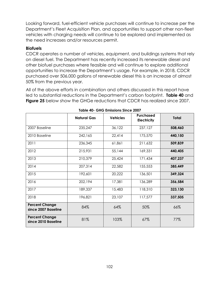Looking forward, fuel-efficient vehicle purchases will continue to increase per the Department's Fleet Acquisition Plan, and opportunities to support other non-fleet vehicles with charging needs will continue to be explored and implemented as the need increases and/or resources permit.

## **Biofuels**

CDCR operates a number of vehicles, equipment, and buildings systems that rely on diesel fuel. The Department has recently increased its renewable diesel and other biofuel purchases where feasible and will continue to explore additional opportunities to increase the Department's usage. For example, in 2018, CDCR purchased over 506,000 gallons of renewable diesel this is an increase of almost 50% from the previous year.

All of the above efforts in combination and others discussed in this report have led to substantial reductions in the Department's carbon footprint. **[Table 40](#page-5-0)** and **[Figure 25](#page-6-0)** below show the GHGe reductions that CDCR has realized since 2007.

<span id="page-5-0"></span>

|                                              | <b>Natural Gas</b> | <b>Vehicles</b> | <b>Purchased</b><br><b>Electricity</b> | <b>Total</b> |
|----------------------------------------------|--------------------|-----------------|----------------------------------------|--------------|
| 2007 Baseline                                | 235,247            | 36,122          | 237,127                                | 508,460      |
| 2010 Baseline                                | 242,165            | 22,414          | 175,570                                | 440,150      |
| 2011                                         | 236,345            | 61,861          | 211,632                                | 509,839      |
| 2012                                         | 215,931            | 55,144          | 169,331                                | 440,405      |
| 2013                                         | 210,379            | 25,424          | 171,434                                | 407,237      |
| 2014                                         | 207,314            | 22,582          | 155,553                                | 385,449      |
| 2015                                         | 192,601            | 20,222          | 136,501                                | 349,324      |
| 2016                                         | 202,194            | 17,381          | 136,289                                | 356,584      |
| 2017                                         | 189,337            | 15,483          | 118,310                                | 323,130      |
| 2018                                         | 196,821            | 23,107          | 117,577                                | 337,505      |
| <b>Percent Change</b><br>since 2007 Baseline | 84%                | 64%             | 50%                                    | 66%          |
| <b>Percent Change</b><br>since 2010 Baseline | 81%                | 103%            | 67%                                    | 77%          |

|  |  | Table 40- GHG Emissions Since 2007 |
|--|--|------------------------------------|
|  |  |                                    |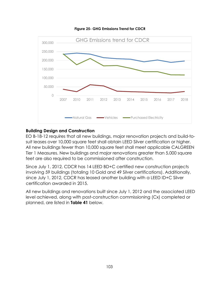<span id="page-6-0"></span>



## **Building Design and Construction**

EO B-18-12 requires that all new buildings, major renovation projects and build-tosuit leases over 10,000 square feet shall obtain LEED Silver certification or higher. All new buildings fewer than 10,000 square feet shall meet applicable CALGREEN Tier 1 Measures. New buildings and major renovations greater than 5,000 square feet are also required to be commissioned after construction.

Since July 1, 2012, CDCR has 14 LEED BD+C certified new construction projects involving 59 buildings (totaling 10 Gold and 49 Silver certifications). Additionally, since July 1, 2012, CDCR has leased another building with a LEED ID+C Silver certification awarded in 2015.

All new buildings and renovations built since July 1, 2012 and the associated LEED level achieved, along with post-construction commissioning (Cx) completed or planned, are listed in **Table 41** below.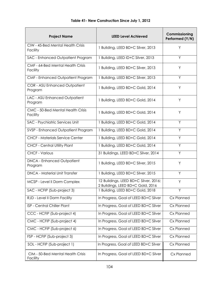| <b>Project Name</b>                             | Commissioning<br><b>LEED Level Achieved</b><br>Performed (Y/N)             |            |  |
|-------------------------------------------------|----------------------------------------------------------------------------|------------|--|
| CIW - 45-Bed Mental Health Crisis<br>Facility   | 1 Building, LEED BD+C Silver, 2013                                         | Y          |  |
| SAC - Enhanced Outpatient Program               | 1 Building, LEED ID+C Silver, 2013                                         | Y          |  |
| CMF - 64-Bed Mental Health Crisis<br>Facility   | 1 Building, LEED BD+C Silver, 2013                                         | Y          |  |
| CMF - Enhanced Outpatient Program               | 1 Building, LEED BD+C Silver, 2013                                         | Y          |  |
| <b>COR - ASU Enhanced Outpatient</b><br>Program | 1 Building, LEED BD+C Gold, 2014                                           | Y          |  |
| LAC - ASU Enhanced Outpatient<br>Program        | 1 Building, LEED BD+C Gold, 2014                                           | Y          |  |
| CMC - 50-Bed Mental Health Crisis<br>Facility   | 1 Building, LEED BD+C Gold, 2014                                           | Y          |  |
| SAC - Psychiatric Services Unit                 | 1 Building, LEED BD+C Gold, 2014                                           | Y          |  |
| SVSP - Enhanced Outpatient Program              | 1 Building, LEED BD+C Gold, 2014                                           | Y          |  |
| <b>CHCF - Materials Service Center</b>          | 1 Building, LEED BD+C Gold, 2014                                           | Y          |  |
| <b>CHCF - Central Utility Plant</b>             | 1 Building, LEED BD+C Gold, 2014                                           | Y          |  |
| <b>CHCF - Various</b>                           | 31 Buildings, LEED BD+C Silver, 2014                                       | Y          |  |
| <b>DNCA - Enhanced Outpatient</b><br>Program    | 1 Building, LEED BD+C Silver, 2015                                         | Y          |  |
| <b>DNCA - Material Unit Transfer</b>            | 1 Building, LEED BD+C Silver, 2015                                         | Y          |  |
| MCSP - Level II Dorm Complex                    | 12 Buildings, LEED BD+C Silver, 2016;<br>2 Buildings, LEED BD+C Gold, 2016 | Y          |  |
| SAC - HCFIP (Sub-project 3)                     | 1 Building, LEED BD+C Gold, 2018                                           | Y          |  |
| RJD - Level II Dorm Facility                    | In Progress, Goal of LEED BD+C Silver                                      | Cx Planned |  |
| ISP - Central Chiller Plant                     | In Progress, Goal of LEED BD+C Silver                                      | Cx Planned |  |
| CCC - HCFIP (Sub-project 4)                     | In Progress, Goal of LEED BD+C Silver                                      | Cx Planned |  |
| CMC - HCFIP (Sub-project 4)                     | In Progress, Goal of LEED BD+C Silver                                      | Cx Planned |  |
| CMC - HCFIP (Sub-project 6)                     | In Progress, Goal of LEED BD+C Silver                                      | Cx Planned |  |
| FSP - HCFIP (Sub-project 3)                     | In Progress, Goal of LEED BD+C Silver                                      | Cx Planned |  |
| SOL - HCFIP (Sub-project 1)                     | In Progress, Goal of LEED BD+C Silver                                      | Cx Planned |  |

In Progress, Goal of LEED BD+C Silver

Cx Planned

CIM - 50-Bed Mental Health Crisis

Facility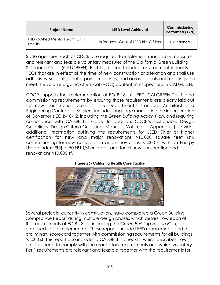| <b>Project Name</b>                           | <b>LEED Level Achieved</b>            | Commissioning<br>Performed (Y/N) |
|-----------------------------------------------|---------------------------------------|----------------------------------|
| RJD - 50-Bed Mental Health Crisis<br>Facility | In Progress, Goal of LEED BD+C Silver | Cx Planned                       |

State agencies, such as CDCR, are required to implement mandatory measures and relevant and feasible voluntary measures of the California Green Building Standards Code (CALGREEN), Part 11, related to indoor environmental quality (IEQ) that are in effect at the time of new construction or alteration and shall use adhesives, sealants, caulks, paints, coatings, and aerosol paints and coatings that meet the volatile organic chemical (VOC) content limits specified in CALGREEN*.* 

CDCR supports the implementation of EO B-18-12, LEED, CALGREEN Tier 1, and commissioning requirements by ensuring those requirements are clearly laid out for new construction projects. The Department's standard Architect and Engineering Contract of Services includes language mandating the incorporation of Governor's EO B-18-12, including the *Green Building Action Plan*, and requiring compliance with CALGREEN Code. In addition, CDCR's Sustainable Design Guidelines (Design Criteria Guidelines Manual – Volume II – Appendix J) provides additional information outlining the requirements for LEED Silver or higher certification for new and major renovations >10,000 square feet (sf), commissioning for new construction and renovations >5,000 sf with an Energy Usage Index (EUI) of 50 kBTU/sf or larger, and for all new construction and renovations >10,000 sf.



#### **Figure 26- California Health Care Facility**

Several projects, currently in construction, have completed a Green Building Compliance Report during multiple design phases which details how each of the requirements of EO B-18-12, including the *Green Building Action Plan*, are proposed to be implemented. These reports include LEED requirements and a preliminary scorecard together with commissioning requirements for all buildings >5,000 sf. This report also includes a CALGREEN checklist which describes how projects need to comply with the mandatory requirements and which voluntary Tier 1 requirements are relevant and feasible together with the requirements for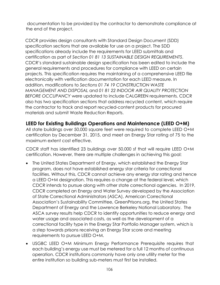documentation to be provided by the contractor to demonstrate compliance at the end of the project.

CDCR provides design consultants with Standard Design Document (SDD) specification sections that are available for use on a project. The SDD specifications already include the requirements for LEED submittals and certification as part of *Section 01 81 13 SUSTAINABLE DESIGN REQUIREMENTS*. CDCR's standard sustainable design specification has been edited to include the general requirements and procedures for compliance with LEED on certain projects. This specification requires the maintaining of a comprehensive LEED file electronically with verification documentation for each LEED measure. In addition, modifications to *Sections 01 74 19 CONSTRUCTION WASTE MANAGEMENT AND DISPOSAL* and *01 81 22 INDOOR AIR QUALITY PROTECTION BEFORE OCCUPANCY* were updated to include CALGREEN requirements. CDCR also has two specification sections that address recycled content, which require the contractor to track and report recycled-content products for procured materials and submit Waste Reduction Reports.

## **LEED for Existing Buildings Operations and Maintenance (LEED O+M)**

All state buildings over 50,000 square feet were required to complete LEED O+M certification by December 31, 2015, and meet an Energy Star rating of 75 to the maximum extent cost effective.

CDCR staff has identified 23 buildings over 50,000 sf that will require LEED O+M certification. However, there are multiple challenges in achieving this goal:

- The United States Department of Energy, which established the Energy Star program, does not have established energy star criteria for correctional facilities. Without this, CDCR cannot achieve any energy star rating and hence a LEED O+M designation. This requires a change at the federal level, which CDCR intends to pursue along with other state correctional agencies. In 2019, CDCR completed an Energy and Water Survey developed by the Association of State Correctional Administrators (ASCA), American Correctional Association's Sustainability Committee, GreenPrisons.org, the United States Department of Energy and the Lawrence Berkeley National Laboratory. The ASCA survey results help CDCR to identify opportunities to reduce energy and water usage and associated costs, as well as the development of a correctional facility type in the Energy Star Portfolio Manager system, which is a step towards prisons receiving an Energy Star score and meeting requirements to pursue LEED O+M.
- USGBC LEED O+M Minimum Energy Performance Prerequisite requires that each building's energy use must be metered for a full 12 months of continuous operation. CDCR institutions commonly have only one utility meter for the entire institution so building sub-meters must first be installed.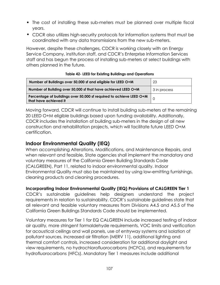- The cost of installing these sub-meters must be planned over multiple fiscal years.
- CDCR also utilizes high-security protocols for information systems that must be coordinated with any data transmissions from the new sub-meters.

However, despite these challenges, CDCR is working closely with an Energy Service Company, institution staff, and CDCR's Enterprise Information Services staff and has begun the process of installing sub-meters at select buildings with others planned in the future.

| Number of Buildings over 50,000 sf and eligible for LEED O+M                                 | 23           |
|----------------------------------------------------------------------------------------------|--------------|
| Number of Building over 50,000 sf that have achieved LEED O+M                                | 3 in process |
| Percentage of buildings over 50,000 sf required to achieve LEED O+M<br>that have achieved it |              |

#### **Table 42- LEED for Existing Buildings and Operations**

Moving forward, CDCR will continue to install building sub-meters at the remaining 20 LEED O+M eligible buildings based upon funding availability. Additionally, CDCR includes the installation of building sub-meters in the design of all new construction and rehabilitation projects, which will facilitate future LEED O+M certification.

## **Indoor Environmental Quality (IEQ)**

When accomplishing Alterations, Modifications, and Maintenance Repairs, and when relevant and feasible, State agencies shall implement the mandatory and voluntary measures of the California Green Building Standards Code (CALGREEN), Part 11, related to indoor environmental quality. Indoor Environmental Quality must also be maintained by using low-emitting furnishings, cleaning products and cleaning procedures.

## **Incorporating Indoor Environmental Quality (IEQ) Provisions of CALGREEN Tier 1**

CDCR's sustainable guidelines help designers understand the project requirements in relation to sustainability. CDCR's sustainable guidelines state that all relevant and feasible voluntary measures from Divisions A4.5 and A5.5 of the California Green Buildings Standards Code should be implemented.

Voluntary measures for Tier 1 for EQ CALGREEN include increased testing of indoor air quality, more stringent formaldehyde requirements, VOC limits and verification for acoustical ceilings and wall panels, use of entryway systems and isolation of pollutant sources, increased air filtration (MERV 11), additional lighting and thermal comfort controls, increased consideration for additional daylight and view requirements, no hydrochlorofluorocarbons (HCFCs), and requirements for hydrofluorocarbons (HFCs). Mandatory Tier 1 measures include additional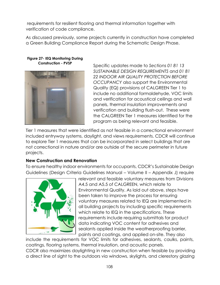requirements for resilient flooring and thermal information together with verification of code compliance.

As discussed previously, some projects currently in construction have completed a Green Building Compliance Report during the Schematic Design Phase.

**Figure 27- IEQ Monitoring During Construction - PVSP** 



Specific updates made to *Sections 01 81 13 SUSTAINABLE DESIGN REQUIREMENTS* and *01 81 22 INDOOR AIR QUALITY PROTECTION BEFORE OCCUPANCY* also support the Environmental Quality (EQ) provisions of CALGREEN Tier 1 to include no additional formaldehyde, VOC limits and verification for acoustical ceilings and wall panels, thermal insulation improvements and verification and building flush-out. These were the CALGREEN Tier 1 measures identified for the program as being relevant and feasible.

Tier 1 measures that were identified as not feasible in a correctional environment included entryway systems, daylight, and views requirements. CDCR will continue to explore Tier 1 measures that can be incorporated in select buildings that are not correctional in nature and/or are outside of the secure perimeter in future projects.

## **New Construction and Renovation**

To ensure healthy indoor environments for occupants, CDCR's Sustainable Design Guidelines (Design Criteria Guidelines Manual – Volume II – Appendix J) require



relevant and feasible voluntary measures from Divisions A4.5 and A5.5 of CALGREEN, which relate to Environmental Quality. As laid out above, steps have been taken to improve the process for ensuring voluntary measures related to IEQ are implemented in all building projects by including specific requirements which relate to IEQ in the specifications. These requirements include requiring submittals for product data indicating VOC content for adhesives and sealants applied inside the weatherproofing barrier, paints and coatings, and applied on-site. They also

include the requirements for VOC limits for adhesives, sealants, caulks, paints, coatings, flooring systems, thermal insulation, and acoustic panels.

CDCR also maximizes daylighting in new construction when feasible by providing a direct line of sight to the outdoors via windows, skylights, and clerestory glazing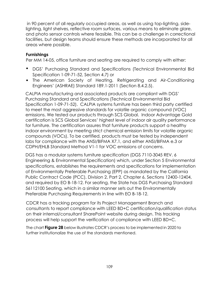in 90 percent of all regularly occupied areas, as well as using top-lighting, sidelighting, light shelves, reflective room surfaces, various means to eliminate glare, and photo sensor controls where feasible. This can be a challenge in correctional facilities, but design teams should ensure these methods are incorporated for all areas where possible.

## **Furnishings**

Per MM 14-05, office furniture and seating are required to comply with either:

- DGS' Purchasing Standard and Specifications (Technical Environmental Bid Specification 1-09-71-52, Section 4.7) or
- The American Society of Heating, Refrigerating and Air-Conditioning Engineers' (ASHRAE) Standard 189.1-2011 (Section 8.4.2.5).

CALPIA manufacturing and associated products are compliant with DGS' Purchasing Standard and Specifications (Technical Environmental Bid Specification 1-09-71-52). CALPIA systems furniture has been third party certified to meet the most aggressive standards for volatile organic compound (VOC) emissions. We tested our products through SCS Global. Indoor Advantage Gold certification is SCS Global Services' highest level of indoor air quality performance for furniture. The certification assures that furniture products support a healthy indoor environment by meeting strict chemical emission limits for volatile organic compounds (VOCs). To be certified, products must be tested by independent labs for compliance with the ANSI/BIFMA X7.1, and either ANSI/BIFMA e.3 or CDPH/EHLB Standard Method V1-1 for VOC emissions of concerns.

DGS has a modular systems furniture specification (DGS 7110-3045 REV. 6 Engineering & Environmental Specification) which, under Section 5 Environmental specifications, establishes the requirements and specifications for implementation of Environmentally Preferable Purchasing (EPP) as mandated by the California Public Contract Code (PCC), Division 2, Part 2, Chapter 6, Sections 12400-12404, and required by EO B-18-12. For seating, the State has DGS Purchasing Standard 56112100 Seating, which in a similar manner sets out the Environmentally Preferable Purchasing Requirements in line with EO B-18-12.

CDCR has a tracking program for its Project Management Branch and consultants to report compliance with LEED BD+C certification/qualification status on their internal/consultant SharePoint website during design. This tracking process will help support the verification of compliance with LEED BD+C.

The chart **[Figure 28](#page-13-0)** below illustrates CDCR's process to be implemented in 2020 to further institutionalize the use of the standards mentioned.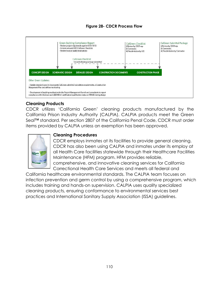## **Figure 28- CDCR Process Flow**

<span id="page-13-0"></span>

## **Cleaning Products**

CDCR utilizes 'California Green' cleaning products manufactured by the California Prison Industry Authority (CALPIA). CALPIA products meet the Green Seal™ standard. Per section 2807 of the California Penal Code, CDCR must order items provided by CALPIA unless an exemption has been approved.



## **Cleaning Procedures**

CDCR employs inmates at its facilities to provide general cleaning. CDCR has also been using CALPIA and inmates under its employ at all Health Care facilities statewide through their Healthcare Facilities Maintenance (HFM) program. HFM provides reliable, comprehensive, and innovative cleaning services for California Correctional Health Care Services and meets all federal and

California healthcare environmental standards. The CALPIA team focuses on infection prevention and germ control by using a comprehensive program, which includes training and hands-on supervision. CALPIA uses quality specialized cleaning products, ensuring conformance to environmental services best practices and International Sanitary Supply Association (ISSA) guidelines.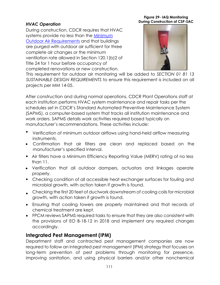## *HVAC Operation*

During construction, CDCR requires that HVAC systems provide no less than the Minimum [Outdoor Air Requirements](http://www.dir.ca.gov/title8/5142.html) and that buildings are purged with outdoor air sufficient for three complete air changes or the minimum ventilation rate allowed in Section 120.1(b)2 of Title 24 for 1 hour before occupancy of completed renovations or new construction.

**Figure 29- IAQ Monitoring During Construction of CSP-SAC** 



This requirement for outdoor air monitoring will be added to *SECTION 01 81 13 SUSTAINABLE DESIGN REQUIREMENTS* to ensure this requirement is included on all projects per MM 14-05.

After construction and during normal operations, CDCR Plant Operations staff at each institution performs HVAC system maintenance and repair tasks per the schedules set in CDCR's Standard Automated Preventive Maintenance System (SAPMS), a computer-based system that tracks all institution maintenance and work orders. SAPMS details work activities required based typically on manufacturer's recommendations. These activities include:

- Verification of minimum outdoor airflows using hand-held airflow measuring instruments.
- Confirmation that air filters are clean and replaced based on the manufacturer's specified interval.
- Air filters have a Minimum Efficiency Reporting Value (MERV) rating of no less than 11.
- Verification that all outdoor dampers, actuators and linkages operate properly.
- Checking condition of all accessible heat exchanger surfaces for fouling and microbial growth, with action taken if growth is found.
- Checking the first 20 feet of ductwork downstream of cooling coils for microbial growth, with action taken if growth is found.
- Ensuring that cooling towers are properly maintained and that records of chemical treatment are kept.
- FPCM reviews SAPMS required tasks to ensure that they are also consistent with the provisions of EO B-18-12 in 2018 and implement any required changes accordingly.

## **Integrated Pest Management (IPM)**

Department staff and contracted pest management companies are now required to follow an integrated pest management (IPM) strategy that focuses on long-term prevention of pest problems through monitoring for presence, improving sanitation, and using physical barriers and/or other nonchemical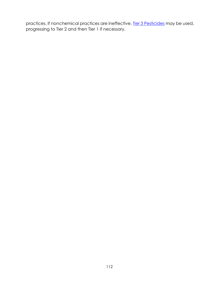practices. If nonchemical practices are ineffective, <u>Tier 3 Pesticides</u> may be used, progressing to Tier 2 and then Tier 1 if necessary.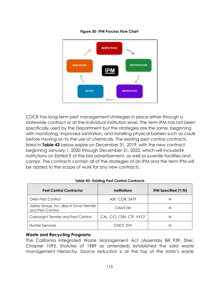

#### **Figure 30- IPM Process Flow Chart**

CDCR has long-term pest management strategies in place either through a statewide contract or at the individual institution level. The term IPM has not been specifically used by the Department but the strategies are the same, beginning with monitoring, improved sanitation, and installing physical barriers such as caulk before moving on to the use of chemicals. The existing pest control contracts listed in **[Table 43](#page-16-0)** below expire on December 31, 2019, with the new contract beginning January 1, 2020 through December 31, 2022, which will include34 institutions on Exhibit E of the bid advertisement, as well as juvenile facilities and camps. The contracts contain all of the strategies of an IPM and the term IPM will be added to the scope of work for any new contracts.

<span id="page-16-0"></span>

| <b>Pest Control Contractor</b>                            | Institutions             | IPM Specified (Y/N) |
|-----------------------------------------------------------|--------------------------|---------------------|
| <b>Orkin Pest Control</b>                                 | ASP, COR, SATF           | Ν                   |
| Jabez Group, Inc. dba A Tovar Termite<br>and Pest Control | CIM/CIW                  | Ν                   |
| Cartwright Termite and Pest Control                       | CAL, CCI, CEN, CTF, VYCF | N                   |
| Hunter Services                                           | CHCF, DVI                |                     |

#### **Table 43- Existing Pest Control Contracts**

#### **Waste and Recycling Programs**

The California Integrated Waste Management Act (Assembly Bill 939, Sher, Chapter 1095, Statutes of 1989 as amended) established the solid waste management hierarchy. Source reduction is at the top of the state's waste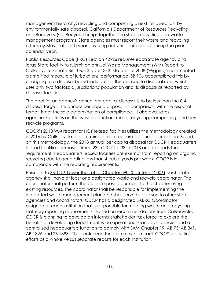management hierarchy; recycling and composting is next, followed last by environmentally safe disposal. California's Department of Resources Recycling and Recovery (CalRecycle) brings together the state's recycling and waste management programs. State agencies must report their waste and recycling efforts by May 1 of each year covering activities conducted during the prior calendar year.

Public Resources Code (PRC) Section 42926 requires each State agency and large State facility to submit an annual Waste Management (WM) Report to CalRecycle. Senate Bill 106, Chapter 343, Statutes of 2008 (Wiggins) implemented a simplified measure of jurisdictions' performance. SB 106 accomplished this by changing to a disposal based indicator — the per capita disposal rate, which uses only two factors; a jurisdictions' population and its disposal as reported by disposal facilities.

The goal for an agency's annual per capital disposal is to be less than the 0.4 disposal target. The annual per capita disposal, in comparison with the disposal target, is not the sole determination of compliance. It also evaluates agencies/facilities on the waste reduction, reuse, recycling, composting, and buy recycle programs.

CDCR's 2018 WM report for HQs' leased facilities utilizes the methodology created in 2016 by CalRecycle to determine a more accurate pounds per person. Based on this methodology, the 2018 annual per capita disposal for CDCR Headquarters leased facilities increased from .23 in 2017 to .38 in 2018 and exceeds the requirement. Headquarters leased facilities are exempt from reporting on organic recycling due to generating less than 4 cubic yards per week- CDCR is in compliance with the reporting requirements.

Pursuant to SB 1106 Lowenthal, et. al Chapter 590, Statutes of 2006) each state agency shall have at least one designated waste and recycle coordinator. The coordinator shall perform the duties imposed pursuant to this chapter using existing resources. The coordinator shall be responsible for implementing the integrated waste management plan and shall serve as a liaison to other state agencies and coordinators. CDCR has a designated SABRC Coordinator assigned at each institution that is responsible for meeting waste and recycling statutory reporting requirements. Based on recommendations from CalRecycle, CDCR is planning to develop an internal stakeholder task force to explore the benefits of developing department-wide operational standards, policies and a centralized headquarters function to comply with SAM Chapter 19, AB 75, AB 341, AB 1826 and SB 1383. This centralized function may also track CDCR's recycling efforts as a whole versus separate reports for each institution.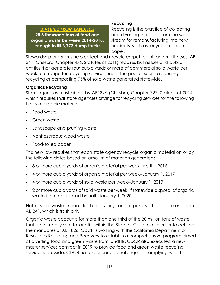## *DIVERTED FROM LANDFILLS*  **28.3 thousand tons of food and organic waste between 2014-2018, enough to fill 3,773 dump trucks**

## **Recycling**

Recycling is the practice of collecting and diverting materials from the waste stream for remanufacturing into new products, such as recycled-content paper.

Stewardship programs help collect and recycle carpet, paint, and mattresses. AB 341 (Chesbro, Chapter 476, Statutes of 2011) requires businesses and public entities that generate four cubic yards or more of commercial solid waste per week to arrange for recycling services under the goal of source reducing, recycling or composting 75% of solid waste generated statewide.

## **Organics Recycling**

State agencies must abide by AB1826 (Chesbro, Chapter 727, Statues of 2014) which requires that state agencies arrange for recycling services for the following types of organic material:

- Food waste
- Green waste
- Landscape and pruning waste
- Nonhazardous wood waste
- Food-soiled paper

This new law requires that each state agency recycle organic material on or by the following dates based on amount of materials generated:

- 8 or more cubic yards of organic material per week--April 1, 2016
- 4 or more cubic yards of organic material per week--January 1, 2017
- 4 or more cubic yards of solid waste per week--January 1, 2019
- 2 or more cubic yards of solid waste per week, if statewide disposal of organic waste is not decreased by half--January 1, 2020

Note: Solid waste means trash, recycling and organics. This is different than AB 341, which is trash only.

Organic waste accounts for more than one third of the 30 million tons of waste that are currently sent to landfills within the State of California. In order to achieve the mandates of AB 1826, CDCR is working with the California Department of Resources Recycling and Recovery to establish a comprehensive program aimed at diverting food and green waste from landfills. CDCR also executed a new master services contract in 2019 to provide food and green waste recycling services statewide. CDCR has experienced challenges in complying with this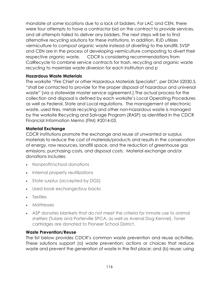mandate at some locations due to a lack of bidders. For LAC and CEN, there were four attempts to have a contractor bid on the contract to provide services, and all attempts failed to deliver any bidders. The next steps will be to find alternative recycling solutions for these institutions. In addition, RJD utilizes vermiculture to compost organic waste instead of diverting to the landfill. SVSP and CEN are in the process of developing vermiculture composting to divert their respective organic waste. CDCR is considering recommendations from CalRecycle to combine service contracts for trash, recycling and organic waste recycling to maximize waste diversion for each institution and p

## **Hazardous Waste Materials**

The worksite "Fire Chief or other Hazardous Materials Specialist", per DOM 52030.5, "shall be contacted to provide for the proper disposal of hazardous and universal waste" [via a statewide master service agreement.] The actual process for the collection and disposal is defined by each worksite's Local Operating Procedures as well as Federal, State and Local regulations. The management of electronic waste, used tires, metals recycling and other non-hazardous waste is managed by the worksite Recycling and Salvage Program (RASP) as identified in the CDCR Financial Information Memo (FIM) #2014-03.

## **Material Exchange**

CDCR institutions promote the exchange and reuse of unwanted or surplus materials to reduce the cost of materials/products and results in the conservation of energy, raw resources, landfill space, and the reduction of greenhouse gas emissions, purchasing costs, and disposal costs. Material exchange and/or donations includes:

- Nonprofit/school donations
- Internal property reutilizations
- State surplus (accepted by DGS)
- Used book exchange/buy backs
- Textiles
- Mattresses
- ASP donates blankets that do not meet the criteria for inmate use to animal shelters (Tulare and Porterville SPCA, as well as Avenal Dog Kennel). Toner cartridges are donated to Pioneer School District.

## **Waste Prevention/Reuse**

The list below provides CDCR's common waste prevention and reuse activities. These solutions support (a) waste prevention: actions or choices that reduce waste and prevent the generation of waste in the first place; and (b) reuse: using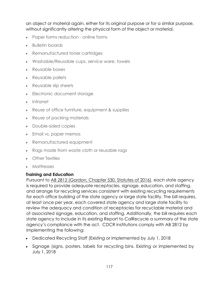an object or material again, either for its original purpose or for a similar purpose, without significantly altering the physical form of the object or material.

- Paper forms reduction online forms
- Bulletin boards
- Remanufactured toner cartridges
- Washable/Reusable cups, service ware, towels
- Reusable boxes
- Reusable pallets
- Reusable slip sheets
- Electronic document storage
- Intranet
- Reuse of office furniture, equipment & supplies
- Reuse of packing materials
- Double-sided copies
- Email vs. paper memos
- Remanufactured equipment
- Rags made from waste cloth or reusable rags
- Other Textiles
- Mattresses

## **Training and Education**

Pursuant t[o AB 2812 \(Gordon, Chapter 530, Statutes of 2016\),](https://leginfo.legislature.ca.gov/faces/billTextClient.xhtml?bill_id=201520160AB2812) each state agency is required to provide adequate receptacles, signage, education, and staffing, and arrange for recycling services consistent with existing recycling requirements for each office building of the state agency or large state facility. The bill requires, at least once per year, each covered state agency and large state facility to review the adequacy and condition of receptacles for recyclable material and of associated signage, education, and staffing. Additionally, the bill requires each state agency to include in its existing Report to CalRecycle a summary of the state agency's compliance with the act. CDCR institutions comply with AB 2812 by implementing the following:

- Dedicated Recycling Staff (Existing or implemented by July 1, 2018
- Signage (signs, posters, labels for recycling bins. Existing or implemented by July 1, 2018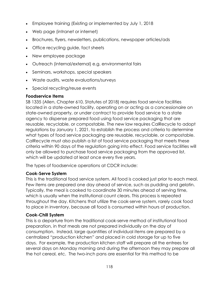- Employee training (Existing or implemented by July 1, 2018
- Web page (intranet or internet)
- Brochures, flyers, newsletters, publications, newspaper articles/ads
- Office recycling guide, fact sheets
- New employee package
- Outreach (internal/external) e.g. environmental fairs
- Seminars, workshops, special speakers
- Waste audits, waste evaluations/surveys
- Special recycling/reuse events

## **Foodservice Items**

SB 1335 (Allen, Chapter 610, Statutes of 2018) requires food service facilities located in a state-owned facility, operating on or acting as a concessionaire on state-owned property, or under contract to provide food service to a state agency to dispense prepared food using food service packaging that are reusable, recyclable, or compostable. The new law requires CalRecycle to adopt regulations by January 1, 2021, to establish the process and criteria to determine what types of food service packaging are reusable, recyclable, or compostable. CalRecycle must also publish a list of food service packaging that meets these criteria within 90 days of the regulation going into effect. Food service facilities will only be allowed to purchase food service packaging from the approved list, which will be updated at least once every five years.

The types of foodservice operations at CDCR include:

## **Cook-Serve System**

This is the traditional food service system. All food is cooked just prior to each meal. Few items are prepared one day ahead of service, such as pudding and gelatin. Typically, the meal is cooked to coordinate 30 minutes ahead of serving time, which is usually when the institutional count clears. This process is repeated throughout the day. Kitchens that utilize the cook-serve system, rarely cook food to place in inventory, because all food is consumed within hours of production.

## **Cook-Chill System**

This is a departure from the traditional cook-serve method of institutional food preparation, in that meals are not prepared individually on the day of consumption. Instead, large quantities of individual items are prepared by a centralized "production kitchen" and placed in cold storage for up to five days. For example, the production kitchen staff will prepare all the entrees for several days on Monday morning and during the afternoon they may prepare all the hot cereal, etc. The two-inch pans are essential for this method to be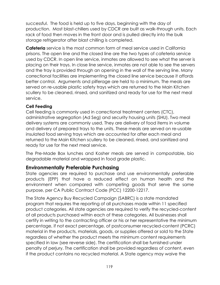successful. The food is held up to five days, beginning with the day of production. Most blast-chillers used by CDCR are built as walk-through units. Each rack of food then moves in the front door and is pulled directly into the bulk storage refrigerator after blast chilling is completed.

**Cafeteria** service is the most common form of meal service used in California prisons. The open line and the closed line are the two types of cafeteria service used by CDCR. In open line service, inmates are allowed to see what the server is placing on their trays. In close line service, inmates are not able to see the servers and the tray is provided through an opening in the wall of the serving line. Many correctional facilities are implementing the closed line service because it affords better control. Arguments and pilferage are held to a minimum. The meals are served on re-usable plastic safety trays which are returned to the Main Kitchen scullery to be cleaned, rinsed, and sanitized and ready for use for the next meal service.

## **Cell Feeding**

Cell feeding is commonly used in correctional treatment centers (CTC), administrative segregation (Ad Seg) and security housing units (SHU). Two meal delivery systems are commonly used. They are delivery of food items in volume and delivery of prepared trays to the units. These meals are served on re-usable insulated food serving trays which are accounted for after each meal and returned to the Main Kitchen scullery to be cleaned, rinsed, and sanitized and ready for use for the next meal service.

The Pre-Made Box lunches and Kosher meals are served in compostable, bio degradable material and wrapped in food grade plastic.

## **Environmentally Preferable Purchasing**

State agencies are required to purchase and use environmentally preferable products (EPP) that have a reduced effect on human health and the environment when compared with competing goods that serve the same purpose, per CA Public Contract Code (PCC) 12200-12217.

The State Agency Buy Recycled Campaign (SABRC) is a state mandated program that requires the reporting of all purchases made within 11 specified product categories. All state agencies are required to verify the recycled-content of all products purchased within each of these categories. All businesses shall certify in writing to the contracting officer or his or her representative the minimum percentage, if not exact percentage, of postconsumer recycled-content (PCRC) material in the products, materials, goods, or supplies offered or sold to the State regardless of whether the product meets the minimum content requirements specified in law (see reverse side). The certification shall be furnished under penalty of perjury. The certification shall be provided regardless of content, even if the product contains no recycled material. A State agency may waive the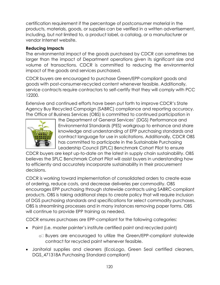certification requirement if the percentage of postconsumer material in the products, materials, goods, or supplies can be verified in a written advertisement, including, but not limited to, a product label, a catalog, or a manufacturer or vendor Internet website.

## **Reducing Impacts**

The environmental impact of the goods purchased by CDCR can sometimes be larger than the impact of Department operations given its significant size and volume of transactions. CDCR is committed to reducing the environmental impact of the goods and services purchased.

CDCR buyers are encouraged to purchase Green/EPP-compliant goods and goods with post-consumer-recycled content whenever feasible. Additionally, service contracts require contractors to self-certify that they will comply with PCC 12200.

Extensive and continued efforts have been put forth to improve CDCR's State Agency Buy Recycled Campaign (SABRC) compliance and reporting accuracy. The Office of Business Services (OBS) is committed to continued participation in



the Department of General Services' (DGS) Performance and Environmental Standards (PES) workgroup to enhance and share knowledge and understanding of EPP purchasing standards and contract language for use in solicitations. Additionally, CDCR OBS has committed to participate in the Sustainable Purchasing Leadership Council (SPLC) Benchmark Cohort Pilot to ensure

CDCR buyers are kept up-to-date on the latest in supply chain sustainability. OBS believes the SPLC Benchmark Cohort Pilot will assist buyers in understanding how to efficiently and accurately incorporate sustainability in their procurement decisions.

CDCR is working toward implementation of consolidated orders to create ease of ordering, reduce costs, and decrease deliveries per commodity. OBS encourages EPP purchasing through statewide contracts using SABRC-compliant products. OBS is taking additional steps to create policy that will require inclusion of DGS purchasing standards and specifications for select commodity purchases. OBS is streamlining processes and in many instances removing paper forms. OBS will continue to provide EPP training as needed.

CDCR ensures purchases are EPP-compliant for the following categories:

- Paint (i.e. master painter's institute certified paint and recycled paint)
	- o Buyers are encouraged to utilize the Green/EPP-compliant statewide contract for recycled paint whenever feasible.
- Janitorial supplies and cleaners (EcoLogo, Green Seal certified cleaners, DGS\_471318A Purchasing Standard compliant)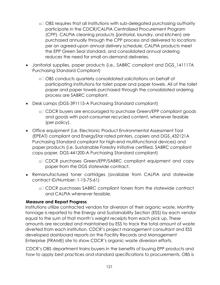- o OBS requires that all institutions with sub-delegated purchasing authority participate in the CDCR/CALPIA Centralized Procurement Program (CPP). CALPIA cleaning products (janitorial, laundry, and kitchen) are purchased annually through the CPP process and delivered to locations per an agreed-upon annual delivery schedule. CALPIA products meet the EPP Green Seal standard, and consolidated annual ordering reduces the need for small on-demand deliveries.
- Janitorial supplies, paper products (i.e., SABRC compliant and DGS\_141117A Purchasing Standard Compliant)
	- o OBS conducts quarterly consolidated solicitations on behalf of participating institutions for toilet paper and paper towels. All of the toilet paper and paper towels purchased through the consolidated ordering process are SABRC compliant.
- Desk Lamps (DGS-391115-A Purchasing Standard compliant)
	- o CDCR buyers are encouraged to purchase Green/EPP compliant goods and goods with post-consumer recycled content, whenever feasible (per policy).
- Office equipment (i.e. Electronic Product Environmental Assessment Tool (EPEAT) compliant and EnergyStar rated printers, copiers and DGS\_432121A Purchasing Standard compliant for high-end multifunctional devices) and paper products (i.e. Sustainable Forestry Initiative certified, SABRC compliant copy paper, DGS-441200-A Purchasing Standard compliant)
	- o CDCR purchases Green/EPP/SABRC compliant equipment and copy paper from the DGS statewide contract.
- Remanufactured toner cartridges (available from CALPIA and statewide contract ID/Number: 1-15-75-61)
	- o CDCR purchases SABRC compliant toners from the statewide contract and CALPIA whenever feasible.

## **Measure and Report Progress**

Institutions utilize contracted vendors for diversion of their organic waste. Monthly tonnage is reported to the Energy and Sustainability Section (ESS) by each vendor equal to the sum of that month's weight receipts from each pick up. These amounts are recorded and maintained by ESS to track the total amount of waste diverted from each institution. CDCR's project management consultant and ESS developed dashboard reports on the Facility Records and Management Enterprise (FRAME) site to show CDCR's organic waste diversion efforts.

CDCR's OBS department trains buyers in the benefits of buying EPP products and how to apply best practices and standard specifications to procurements. OBS is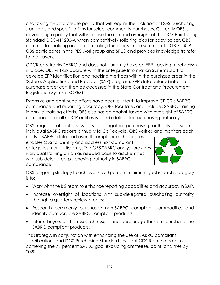also taking steps to create policy that will require the inclusion of DGS purchasing standards and specifications for select commodity purchases. Currently OBS is developing a policy that will increase the use and oversight of the DGS Purchasing Standard DGS-411200-A when competitively soliciting bids for copy paper. OBS commits to finalizing and implementing this policy in the summer of 2018. CDCR's OBS participates in the PES workgroup and SPLC and provides knowledge transfer to the buyers.

CDCR only tracks SABRC and does not currently have an EPP tracking mechanism in place. OBS will collaborate with the Enterprise Information Systems staff to develop EPP identification and tracking methods within the purchase order in the Systems Applications and Products (SAP) program. EPP data entered into the purchase order can then be accessed in the State Contract and Procurement Registration System (SCPRS).

Extensive and continued efforts have been put forth to improve CDCR's SABRC compliance and reporting accuracy. OBS facilitates and includes SABRC training in annual training efforts. OBS also has an analyst tasked with oversight of SABRC compliance for all CDCR entities with sub-delegated purchasing authority.

OBS requires all entities with sub-delegated purchasing authority to submit individual SABRC reports annually to CalRecycle. OBS verifies and monitors each

entity's SABRC data and overall compliance. This process enables OBS to identify and address non-compliant categories more efficiently. The OBS SABRC analyst provides individual training on an as-needed basis to assist entities with sub-delegated purchasing authority in SABRC compliance.



OBS' ongoing strategy to achieve the 50 percent minimum goal in each category is to:

- Work with the BIS team to enhance reporting capabilities and accuracy in SAP.
- Increase oversight of locations with sub-delegated purchasing authority through a quarterly review process.
- Research commonly purchased non-SABRC compliant commodities and identify comparable SABRC compliant products.
- Inform buyers of the research results and encourage them to purchase the SABRC compliant products.

This strategy, in conjunction with enhancing the use of SABRC compliant specifications and DGS Purchasing Standards, will put CDCR on the path to achieving the 75 percent SABRC goal excluding antifreeze, paint, and tires by 2020.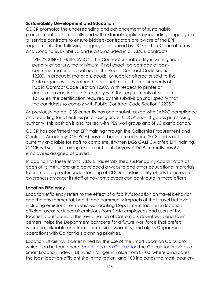## **Sustainability Development and Education**

CDCR promotes the understanding and advancement of sustainable procurement both internally and with external suppliers by including language in all service contracts to ensure bidders/contractors are aware of the EPP requirements. The following language is required by DGS in their General Terms and Conditions, Exhibit C, and is also included in all CDCR contracts:

"RECYCLING CERTIFICATION: The Contractor shall certify in writing under penalty of perjury, the minimum, if not exact, percentage of postconsumer material as defined in the Public Contract Code Section 12200, in products, materials, goods, or supplies offered or sold to the State regardless of whether the product meets the requirements of Public Contract Code Section 12209. With respect to printer or duplication cartridges that comply with the requirements of Section 12156(e), the certification required by this subdivision shall specify that the cartridges so comply with Public Contract Code Section 12205."

As previously noted, OBS currently has one analyst tasked with SABRC compliance and reporting for all entities purchasing under CDCR's non-IT goods purchasing authority. This position is also tasked with PES workgroup and SPLC participation.

CDCR has confirmed that EPP training through the California Procurement and Contract Academy (CALPCA) has not been offered since 2013 and is not currently available for staff to complete. If/when DGS CALPCA offers EPP training, CDCR will support training enrollment for its buyers. CDCR currently has 62 employees assigned as buyers.

In addition to these efforts, CDCR has established sustainability coordinators at each of its institutions and developed a website and other educational materials to promote a greater understanding of CDCR's sustainability efforts to increase awareness amongst its staff of how employees can contribute in these efforts.

## **Location Efficiency**

Location efficiency refers to the effect of a facility's location on travel behavior and the environmental, health and community impacts of that travel behavior, including emissions from vehicles. Locating Department facilities in locationefficient areas reduces air emissions from State employees and users of the facilities, contributes to the revitalization of California's downtowns and town centers, helps the Department compete for a future workforce that prefers walkable, bikeable and transit-accessible worksites, and aligns Department operations with California's planning priorities.

Location Efficiency is determined by the use of the Smart Location Calculator, which can be found here: [Smart Location Calculator.](https://www.slc.gsa.gov/slc/) The Calculator provides a Smart Location Index (SLI), which ranges in value from 0-100, where 0 indicates the least location-efficient site in the region, and 100 indicates the most location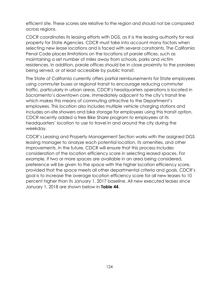efficient site. These scores are relative to the region and should not be compared across regions.

CDCR coordinates its leasing efforts with DGS, as it is the leasing authority for real property for State Agencies. CDCR must take into account many factors when selecting new lease locations and is faced with several constraints. The California Penal Code places limitations on the locations of parole offices, such as maintaining a set number of miles away from schools, parks and victim residences. In addition, parole offices should be in close proximity to the parolees being served, or at least accessible by public transit.

The State of California currently offers partial reimbursements for State employees using commuter buses or regional transit to encourage reducing commuter traffic, particularly in urban areas. CDCR's headquarters operations is located in Sacramento's downtown core, immediately adjacent to the city's transit line which makes this means of commuting attractive to the Department's employees. This location also includes multiple vehicle charging stations and includes on-site showers and bike storage for employees using this transit option. CDCR recently added a free Bike Share program to employees at its headquarters' location to use to travel in and around the city during the weekday.

CDCR's Leasing and Property Management Section works with the assigned DGS leasing manager to analyze each potential location, its amenities, and other improvements. In the future, CDCR will ensure that this process includes consideration of the location efficiency score in selecting leased spaces. For example, if two or more spaces are available in an area being considered, preference will be given to the space with the higher location efficiency score, provided that the space meets all other departmental criteria and goals. CDCR's goal is to increase the average location efficiency score for all new leases to 10 percent higher than its January 1, 2017 baseline. All new executed leases since January 1, 2018 are shown below in **[Table 44](#page-28-0)**.